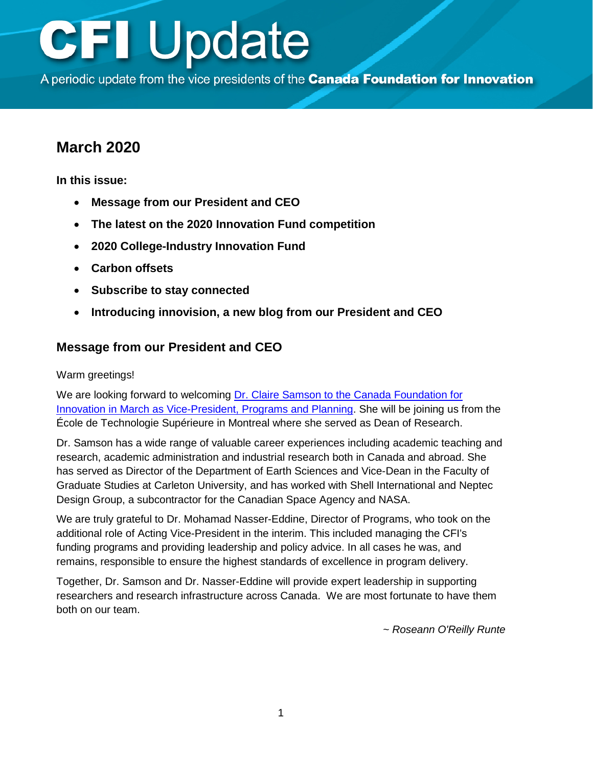A periodic update from the vice presidents of the Canada Foundation for Innovation

### **March 2020**

**In this issue:** 

- **Message from our President and CEO**
- **[The latest on the 2020 Innovation Fund competition](#page-1-0)**
- **[2020 College-Industry Innovation Fund](#page-4-0)**
- **[Carbon offsets](#page-4-0)**
- **[Subscribe to stay connected](#page-4-0)**
- **[Introducing innovision, a new blog from our President and](#page-4-0) CEO**

### **Message from our President and CEO**

#### Warm greetings!

We are looking forward to welcoming Dr. Claire Samson to the Canada Foundation for [Innovation in March as Vice-President, Programs and Planning.](https://www.innovation.ca/about/nouvelles/new-vice-president-join-cfi-management-team) She will be joining us from the École de Technologie Supérieure in Montreal where she served as Dean of Research.

Dr. Samson has a wide range of valuable career experiences including academic teaching and research, academic administration and industrial research both in Canada and abroad. She has served as Director of the Department of Earth Sciences and Vice-Dean in the Faculty of Graduate Studies at Carleton University, and has worked with Shell International and Neptec Design Group, a subcontractor for the Canadian Space Agency and NASA.

We are truly grateful to Dr. Mohamad Nasser-Eddine, Director of Programs, who took on the additional role of Acting Vice-President in the interim. This included managing the CFI's funding programs and providing leadership and policy advice. In all cases he was, and remains, responsible to ensure the highest standards of excellence in program delivery.

Together, Dr. Samson and Dr. Nasser-Eddine will provide expert leadership in supporting researchers and research infrastructure across Canada. We are most fortunate to have them both on our team.

*~ Roseann O'Reilly Runte*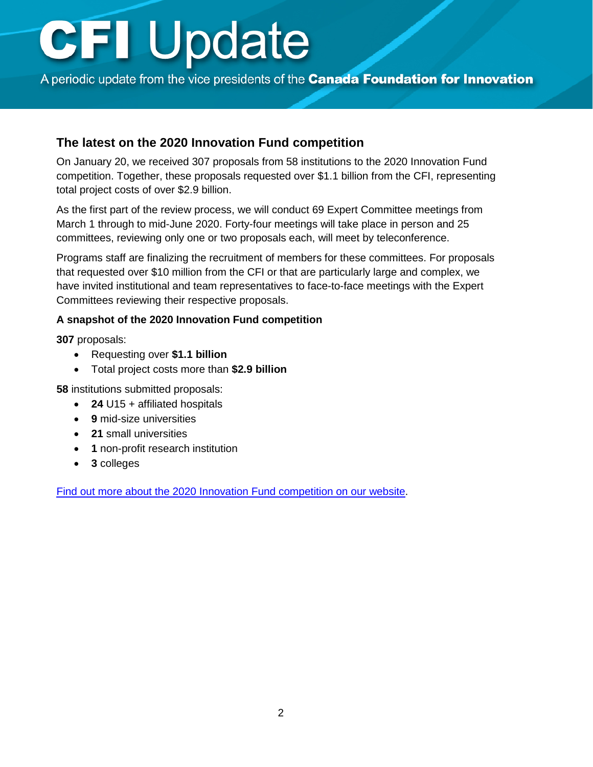<span id="page-1-0"></span>A periodic update from the vice presidents of the Canada Foundation for Innovation

### **The latest on the 2020 Innovation Fund competition**

On January 20, we received 307 proposals from 58 institutions to the 2020 Innovation Fund competition. Together, these proposals requested over \$1.1 billion from the CFI, representing total project costs of over \$2.9 billion.

As the first part of the review process, we will conduct 69 Expert Committee meetings from March 1 through to mid-June 2020. Forty-four meetings will take place in person and 25 committees, reviewing only one or two proposals each, will meet by teleconference.

Programs staff are finalizing the recruitment of members for these committees. For proposals that requested over \$10 million from the CFI or that are particularly large and complex, we have invited institutional and team representatives to face-to-face meetings with the Expert Committees reviewing their respective proposals.

#### **A snapshot of the 2020 Innovation Fund competition**

**307** proposals:

- Requesting over **\$1.1 billion**
- Total project costs more than **\$2.9 billion**

**58** institutions submitted proposals:

- **24** U15 + affiliated hospitals
- **9** mid-size universities
- **21** small universities
- **1** non-profit research institution
- **3** colleges

[Find out more about the 2020 Innovation Fund](https://www.innovation.ca/awards/innovation-fund) competition on our website.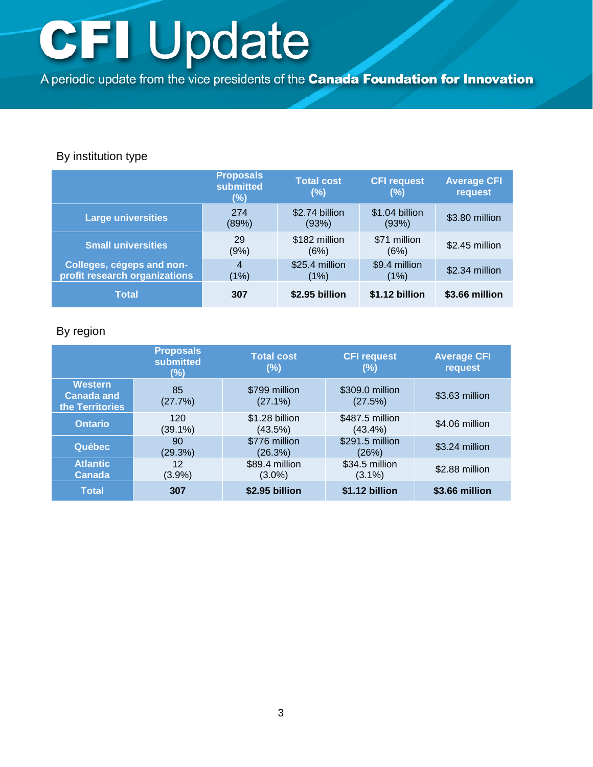A periodic update from the vice presidents of the Canada Foundation for Innovation

### By institution type

|                                                            | <b>Proposals</b><br>submitted<br>(%) | Total cost<br>(%)       | <b>CFI request</b><br>(%) | <b>Average CFI</b><br>request |
|------------------------------------------------------------|--------------------------------------|-------------------------|---------------------------|-------------------------------|
| <b>Large universities</b>                                  | 274<br>(89%)                         | \$2.74 billion<br>(93%) | \$1.04 billion<br>(93%)   | \$3.80 million                |
| <b>Small universities</b>                                  | 29<br>(9%)                           | \$182 million<br>(6%)   | \$71 million<br>(6%)      | \$2.45 million                |
| Colleges, cégeps and non-<br>profit research organizations | 4<br>(1%)                            | \$25.4 million<br>(1%)  | \$9.4 million<br>(1%)     | \$2.34 million                |
| <b>Total</b>                                               | 307                                  | \$2.95 billion          | \$1.12 billion            | \$3.66 million                |

### By region

|                                                        | <b>Proposals</b><br><b>submitted</b><br>(%) | <b>Total cost</b><br>(%)    | <b>CFI request</b><br>(%)     | <b>Average CFI</b><br>request |
|--------------------------------------------------------|---------------------------------------------|-----------------------------|-------------------------------|-------------------------------|
| <b>Western</b><br><b>Canada and</b><br>the Territories | 85<br>(27.7%)                               | \$799 million<br>$(27.1\%)$ | \$309.0 million<br>(27.5%)    | \$3.63 million                |
| <b>Ontario</b>                                         | 120<br>$(39.1\%)$                           | \$1.28 billion<br>(43.5%)   | \$487.5 million<br>$(43.4\%)$ | \$4.06 million                |
| <b>Québec</b>                                          | 90<br>(29.3%)                               | \$776 million<br>(26.3%)    | \$291.5 million<br>(26%)      | \$3.24 million                |
| <b>Atlantic</b><br><b>Canada</b>                       | 12<br>(3.9%)                                | \$89.4 million<br>$(3.0\%)$ | \$34.5 million<br>$(3.1\%)$   | \$2.88 million                |
| <b>Total</b>                                           | 307                                         | \$2.95 billion              | \$1.12 billion                | \$3.66 million                |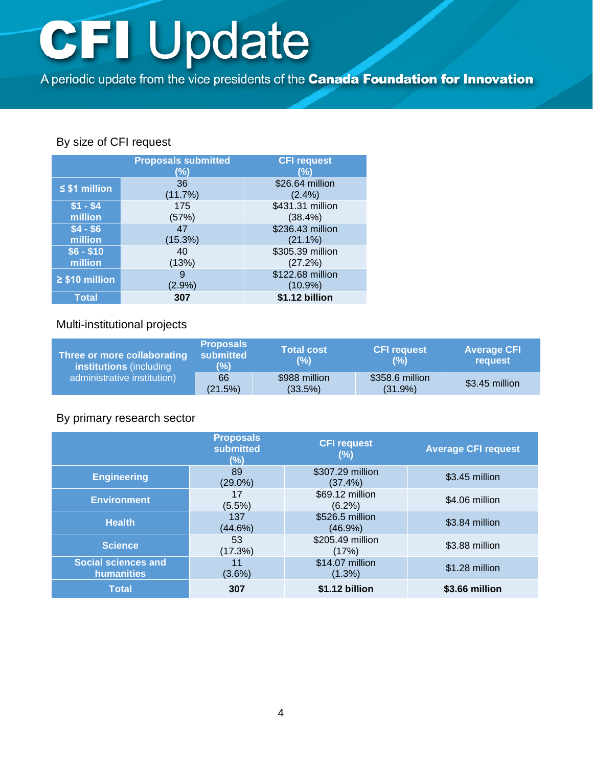A periodic update from the vice presidents of the Canada Foundation for Innovation

### By size of CFI request

|                       | <b>Proposals submitted</b><br>(%) | <b>CFI request</b><br>(%)      |
|-----------------------|-----------------------------------|--------------------------------|
| $\leq$ \$1 million    | 36<br>(11.7%)                     | \$26.64 million<br>(2.4%)      |
| $$1 - $4$<br>million  | 175<br>(57%)                      | \$431.31 million<br>$(38.4\%)$ |
| $$4 - $6$<br>million  | 47<br>(15.3%)                     | \$236.43 million<br>$(21.1\%)$ |
| $$6 - $10$<br>million | 40<br>(13%)                       | \$305.39 million<br>(27.2%)    |
| $\geq$ \$10 million   | 9<br>$(2.9\%)$                    | \$122.68 million<br>$(10.9\%)$ |
| Total                 | 307                               | \$1.12 billion                 |

### Multi-institutional projects

| Three or more collaborating<br><b>institutions</b> (including<br>administrative institution) | <b>Proposals</b><br>submitted<br>(96) | <b>Total cost</b><br>(%) | <b>CFI request</b><br>(%)  | <b>Average CFI</b><br>request |
|----------------------------------------------------------------------------------------------|---------------------------------------|--------------------------|----------------------------|-------------------------------|
|                                                                                              | 66<br>(21.5%)                         | \$988 million<br>(33.5%) | \$358.6 million<br>(31.9%) | \$3.45 million                |

### By primary research sector

|                                          | <b>Proposals</b><br>submitted<br>(%) | <b>CFI request</b><br>(%)     | <b>Average CFI request</b> |
|------------------------------------------|--------------------------------------|-------------------------------|----------------------------|
| <b>Engineering</b>                       | 89<br>$(29.0\%)$                     | \$307.29 million<br>(37.4%)   | \$3.45 million             |
| <b>Environment</b>                       | 17<br>$(5.5\%)$                      | \$69.12 million<br>$(6.2\%)$  | \$4.06 million             |
| <b>Health</b>                            | 137<br>(44.6%)                       | \$526.5 million<br>$(46.9\%)$ | \$3.84 million             |
| Science,                                 | 53<br>(17.3%)                        | \$205.49 million<br>(17%)     | \$3.88 million             |
| <b>Social sciences and</b><br>humanities | 11<br>$(3.6\%)$                      | \$14.07 million<br>$(1.3\%)$  | \$1.28 million             |
| <b>Total</b>                             | 307                                  | \$1.12 billion                | \$3.66 million             |